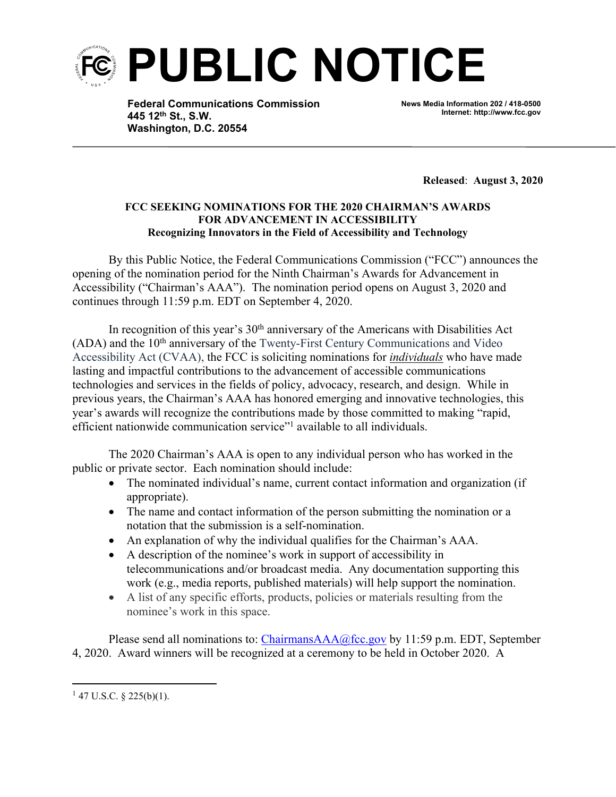

**Federal Communications Commission 445 12th St., S.W. Washington, D.C. 20554**

**News Media Information 202 / 418-0500 Internet: http://www.fcc.gov**

**Released**: **August 3, 2020**

## **FCC SEEKING NOMINATIONS FOR THE 2020 CHAIRMAN'S AWARDS FOR ADVANCEMENT IN ACCESSIBILITY Recognizing Innovators in the Field of Accessibility and Technology**

By this Public Notice, the Federal Communications Commission ("FCC") announces the opening of the nomination period for the Ninth Chairman's Awards for Advancement in Accessibility ("Chairman's AAA"). The nomination period opens on August 3, 2020 and continues through 11:59 p.m. EDT on September 4, 2020.

In recognition of this year's  $30<sup>th</sup>$  anniversary of the Americans with Disabilities Act (ADA) and the 10th anniversary of the Twenty-First Century Communications and Video Accessibility Act (CVAA), the FCC is soliciting nominations for *individuals* who have made lasting and impactful contributions to the advancement of accessible communications technologies and services in the fields of policy, advocacy, research, and design. While in previous years, the Chairman's AAA has honored emerging and innovative technologies, this year's awards will recognize the contributions made by those committed to making "rapid, efficient nationwide communication service"<sup>1</sup> available to all individuals.

The 2020 Chairman's AAA is open to any individual person who has worked in the public or private sector. Each nomination should include:

- The nominated individual's name, current contact information and organization (if appropriate).
- The name and contact information of the person submitting the nomination or a notation that the submission is a self-nomination.
- An explanation of why the individual qualifies for the Chairman's AAA.
- A description of the nominee's work in support of accessibility in telecommunications and/or broadcast media. Any documentation supporting this work (e.g., media reports, published materials) will help support the nomination.
- A list of any specific efforts, products, policies or materials resulting from the nominee's work in this space.

Please send all nominations to: [ChairmansAAA@fcc.gov](mailto:ChairmansAAA@fcc.gov) by 11:59 p.m. EDT, September 4, 2020. Award winners will be recognized at a ceremony to be held in October 2020. A

 $1$  47 U.S.C. § 225(b)(1).